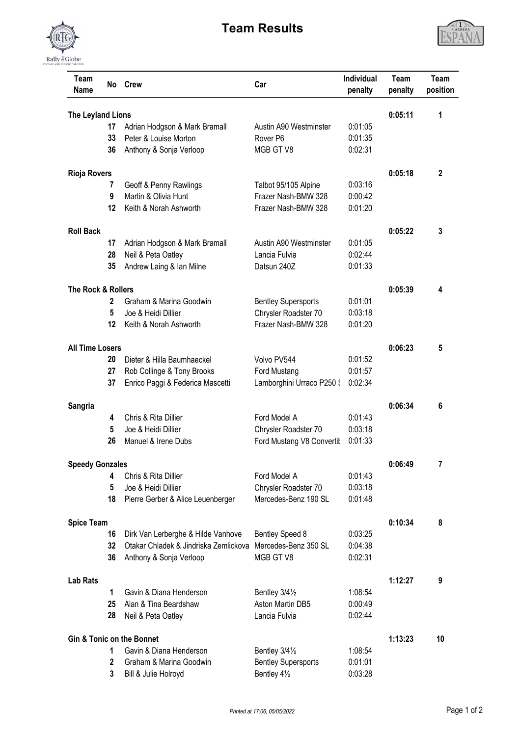

## **Team Results**



| Team<br>Name                                    | No.          | <b>Crew</b>                                                    | Car                                        | <b>Individual</b><br>penalty | Team<br>penalty | Team<br>position |
|-------------------------------------------------|--------------|----------------------------------------------------------------|--------------------------------------------|------------------------------|-----------------|------------------|
| The Leyland Lions                               | 0:05:11      | 1                                                              |                                            |                              |                 |                  |
|                                                 | 17           | Adrian Hodgson & Mark Bramall                                  | Austin A90 Westminster                     | 0:01:05                      |                 |                  |
|                                                 | 33           | Peter & Louise Morton                                          | Rover <sub>P6</sub>                        | 0:01:35                      |                 |                  |
|                                                 | 36           | Anthony & Sonja Verloop                                        | MGB GT V8                                  | 0:02:31                      |                 |                  |
| <b>Rioja Rovers</b>                             |              |                                                                |                                            |                              | 0:05:18         | $\mathbf{2}$     |
|                                                 | 7            | Geoff & Penny Rawlings                                         | Talbot 95/105 Alpine                       | 0:03:16                      |                 |                  |
|                                                 | 9            | Martin & Olivia Hunt                                           | Frazer Nash-BMW 328                        | 0:00:42                      |                 |                  |
|                                                 | 12           | Keith & Norah Ashworth                                         | Frazer Nash-BMW 328                        | 0:01:20                      |                 |                  |
| <b>Roll Back</b>                                |              |                                                                |                                            |                              | 0:05:22         | 3                |
|                                                 | 17           | Adrian Hodgson & Mark Bramall                                  | Austin A90 Westminster                     | 0:01:05                      |                 |                  |
|                                                 | 28           | Neil & Peta Oatley                                             | Lancia Fulvia                              | 0:02:44                      |                 |                  |
|                                                 | 35           | Andrew Laing & Ian Milne                                       | Datsun 240Z                                | 0:01:33                      |                 |                  |
| <b>The Rock &amp; Rollers</b>                   |              |                                                                |                                            |                              |                 | 4                |
|                                                 | $\mathbf{2}$ | Graham & Marina Goodwin                                        | <b>Bentley Supersports</b>                 | 0:01:01                      | 0:05:39         |                  |
|                                                 | 5            | Joe & Heidi Dillier                                            | Chrysler Roadster 70                       | 0:03:18                      |                 |                  |
|                                                 | 12           | Keith & Norah Ashworth                                         | Frazer Nash-BMW 328                        | 0:01:20                      |                 |                  |
|                                                 |              |                                                                |                                            |                              |                 |                  |
| <b>All Time Losers</b>                          |              |                                                                |                                            |                              | 0:06:23         | 5                |
|                                                 | 20           | Dieter & Hilla Baumhaeckel                                     | Volvo PV544                                | 0:01:52                      |                 |                  |
|                                                 | 27<br>37     | Rob Collinge & Tony Brooks<br>Enrico Paggi & Federica Mascetti | Ford Mustang<br>Lamborghini Urraco P250 \$ | 0:01:57<br>0:02:34           |                 |                  |
|                                                 |              |                                                                |                                            |                              |                 |                  |
| Sangria                                         |              |                                                                |                                            |                              | 0:06:34         | 6                |
|                                                 | 4            | Chris & Rita Dillier                                           | Ford Model A                               | 0:01:43                      |                 |                  |
|                                                 | 5            | Joe & Heidi Dillier                                            | Chrysler Roadster 70                       | 0:03:18                      |                 |                  |
|                                                 | 26           | Manuel & Irene Dubs                                            | Ford Mustang V8 Convertit                  | 0:01:33                      |                 |                  |
| <b>Speedy Gonzales</b>                          |              |                                                                |                                            |                              | 0:06:49         | 7                |
|                                                 | 4            | Chris & Rita Dillier                                           | Ford Model A                               | 0:01:43                      |                 |                  |
|                                                 | 5            | Joe & Heidi Dillier                                            | Chrysler Roadster 70                       | 0:03:18                      |                 |                  |
|                                                 | 18           | Pierre Gerber & Alice Leuenberger                              | Mercedes-Benz 190 SL                       | 0:01:48                      |                 |                  |
| <b>Spice Team</b>                               |              |                                                                |                                            |                              | 0:10:34         | 8                |
|                                                 | 16           | Dirk Van Lerberghe & Hilde Vanhove                             | Bentley Speed 8                            | 0:03:25                      |                 |                  |
|                                                 | 32           | Otakar Chladek & Jindriska Zemlickova                          | Mercedes-Benz 350 SL                       | 0:04:38                      |                 |                  |
|                                                 | 36           | Anthony & Sonja Verloop                                        | MGB GT V8                                  | 0:02:31                      |                 |                  |
| <b>Lab Rats</b>                                 |              |                                                                |                                            |                              | 1:12:27         | 9                |
|                                                 | $\mathbf{1}$ | Gavin & Diana Henderson                                        | Bentley 3/41/2                             | 1:08:54                      |                 |                  |
|                                                 | 25           | Alan & Tina Beardshaw                                          | Aston Martin DB5                           | 0:00:49                      |                 |                  |
|                                                 | 28           | Neil & Peta Oatley                                             | Lancia Fulvia                              | 0:02:44                      |                 |                  |
| <b>Gin &amp; Tonic on the Bonnet</b><br>1:13:23 |              |                                                                |                                            |                              |                 |                  |
|                                                 | 1            | Gavin & Diana Henderson                                        | Bentley 3/41/2                             | 1:08:54                      |                 | 10               |
|                                                 | $\mathbf{2}$ | Graham & Marina Goodwin                                        | <b>Bentley Supersports</b>                 | 0:01:01                      |                 |                  |
|                                                 | 3            | Bill & Julie Holroyd                                           | Bentley 41/2                               | 0:03:28                      |                 |                  |